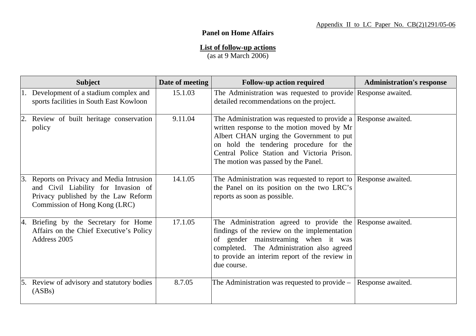## **Panel on Home Affairs**

## **List of follow-up actions**

(as at 9 March 2006)

|    | <b>Subject</b>                                                                                                                                        | Date of meeting | <b>Follow-up action required</b>                                                                                                                                                                                                                                                           | <b>Administration's response</b> |
|----|-------------------------------------------------------------------------------------------------------------------------------------------------------|-----------------|--------------------------------------------------------------------------------------------------------------------------------------------------------------------------------------------------------------------------------------------------------------------------------------------|----------------------------------|
|    | 1. Development of a stadium complex and<br>sports facilities in South East Kowloon                                                                    | 15.1.03         | The Administration was requested to provide Response awaited.<br>detailed recommendations on the project.                                                                                                                                                                                  |                                  |
| 2. | Review of built heritage conservation<br>policy                                                                                                       | 9.11.04         | The Administration was requested to provide a Response awaited.<br>written response to the motion moved by Mr<br>Albert CHAN urging the Government to put<br>on hold the tendering procedure for the<br>Central Police Station and Victoria Prison.<br>The motion was passed by the Panel. |                                  |
| 3. | Reports on Privacy and Media Intrusion<br>and Civil Liability for Invasion of<br>Privacy published by the Law Reform<br>Commission of Hong Kong (LRC) | 14.1.05         | The Administration was requested to report to   Response awaited.<br>the Panel on its position on the two LRC's<br>reports as soon as possible.                                                                                                                                            |                                  |
| 4. | Briefing by the Secretary for Home<br>Affairs on the Chief Executive's Policy<br>Address 2005                                                         | 17.1.05         | The Administration agreed to provide the Response awaited.<br>findings of the review on the implementation<br>of gender mainstreaming when it was<br>completed. The Administration also agreed<br>to provide an interim report of the review in<br>due course.                             |                                  |
| 5. | Review of advisory and statutory bodies<br>(ASBs)                                                                                                     | 8.7.05          | The Administration was requested to provide –                                                                                                                                                                                                                                              | Response awaited.                |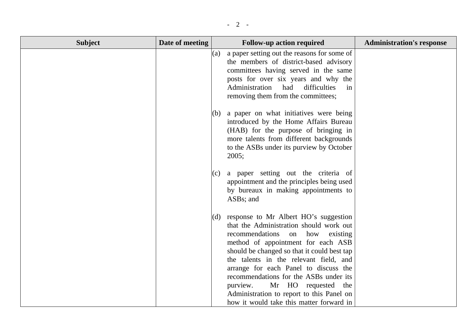| <b>Subject</b> | Date of meeting |     | <b>Follow-up action required</b>                                                                                                                                                                                                                                                                                                                                                                                                                                                    | <b>Administration's response</b> |
|----------------|-----------------|-----|-------------------------------------------------------------------------------------------------------------------------------------------------------------------------------------------------------------------------------------------------------------------------------------------------------------------------------------------------------------------------------------------------------------------------------------------------------------------------------------|----------------------------------|
|                |                 |     | (a) a paper setting out the reasons for some of<br>the members of district-based advisory<br>committees having served in the same<br>posts for over six years and why the<br>Administration<br>had<br>difficulties<br>in<br>removing them from the committees;                                                                                                                                                                                                                      |                                  |
|                |                 |     | $(6)$ a paper on what initiatives were being<br>introduced by the Home Affairs Bureau<br>(HAB) for the purpose of bringing in<br>more talents from different backgrounds<br>to the ASBs under its purview by October<br>2005;                                                                                                                                                                                                                                                       |                                  |
|                |                 | (c) | a paper setting out the criteria of<br>appointment and the principles being used<br>by bureaux in making appointments to<br>ASBs; and                                                                                                                                                                                                                                                                                                                                               |                                  |
|                |                 |     | $(d)$ response to Mr Albert HO's suggestion<br>that the Administration should work out<br>recommendations<br>how<br>existing<br>on<br>method of appointment for each ASB<br>should be changed so that it could best tap<br>the talents in the relevant field, and<br>arrange for each Panel to discuss the<br>recommendations for the ASBs under its<br>Mr HO requested<br>purview.<br>the<br>Administration to report to this Panel on<br>how it would take this matter forward in |                                  |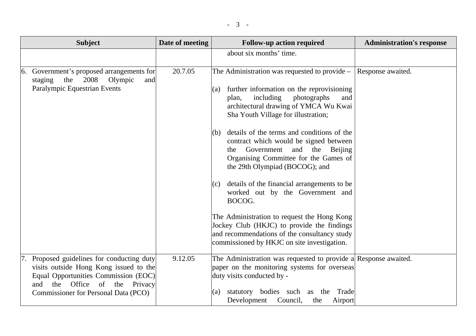| <b>Subject</b>                                                                                                                                                                                              | Date of meeting | <b>Follow-up action required</b>                                                                                                                                                                                                                                                                                                                                                                                                                                                                                                                                                                                                                                                                                                                | <b>Administration's response</b> |
|-------------------------------------------------------------------------------------------------------------------------------------------------------------------------------------------------------------|-----------------|-------------------------------------------------------------------------------------------------------------------------------------------------------------------------------------------------------------------------------------------------------------------------------------------------------------------------------------------------------------------------------------------------------------------------------------------------------------------------------------------------------------------------------------------------------------------------------------------------------------------------------------------------------------------------------------------------------------------------------------------------|----------------------------------|
|                                                                                                                                                                                                             |                 | about six months' time.                                                                                                                                                                                                                                                                                                                                                                                                                                                                                                                                                                                                                                                                                                                         |                                  |
| 6. Government's proposed arrangements for<br>2008<br>the<br>Olympic<br>staging<br>and<br>Paralympic Equestrian Events                                                                                       | 20.7.05         | The Administration was requested to provide –<br>further information on the reprovisioning<br>(a)<br>including<br>photographs<br>plan,<br>and<br>architectural drawing of YMCA Wu Kwai<br>Sha Youth Village for illustration;<br>details of the terms and conditions of the<br>(b)<br>contract which would be signed between<br>Government<br>and the Beijing<br>the<br>Organising Committee for the Games of<br>the 29th Olympiad (BOCOG); and<br>details of the financial arrangements to be<br>(c)<br>worked out by the Government and<br>BOCOG.<br>The Administration to request the Hong Kong<br>Jockey Club (HKJC) to provide the findings<br>and recommendations of the consultancy study<br>commissioned by HKJC on site investigation. | Response awaited.                |
| 7. Proposed guidelines for conducting duty<br>visits outside Hong Kong issued to the<br>Equal Opportunities Commission (EOC)<br>the Office of<br>and<br>the Privacy<br>Commissioner for Personal Data (PCO) | 9.12.05         | The Administration was requested to provide a Response awaited.<br>paper on the monitoring systems for overseas<br>duty visits conducted by -<br>bodies such<br>statutory<br>Trade<br>the<br>(a)<br>as<br>Development<br>Council,<br>the<br>Airport                                                                                                                                                                                                                                                                                                                                                                                                                                                                                             |                                  |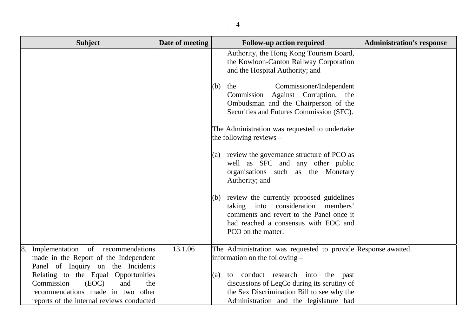| <b>Subject</b>                                                                                                                                             | Date of meeting | <b>Follow-up action required</b>                                                                                                                                                                | <b>Administration's response</b> |
|------------------------------------------------------------------------------------------------------------------------------------------------------------|-----------------|-------------------------------------------------------------------------------------------------------------------------------------------------------------------------------------------------|----------------------------------|
|                                                                                                                                                            |                 | Authority, the Hong Kong Tourism Board,<br>the Kowloon-Canton Railway Corporation<br>and the Hospital Authority; and                                                                            |                                  |
|                                                                                                                                                            |                 | Commissioner/Independent<br>(b)<br>the<br>Commission Against Corruption, the<br>Ombudsman and the Chairperson of the<br>Securities and Futures Commission (SFC).                                |                                  |
|                                                                                                                                                            |                 | The Administration was requested to undertake<br>the following reviews $-$                                                                                                                      |                                  |
|                                                                                                                                                            |                 | (a) review the governance structure of PCO as<br>well as SFC and any other public<br>organisations such as the Monetary<br>Authority; and                                                       |                                  |
|                                                                                                                                                            |                 | (b) review the currently proposed guidelines<br>taking into consideration<br>members'<br>comments and revert to the Panel once it<br>had reached a consensus with EOC and<br>PCO on the matter. |                                  |
| 8. Implementation of recommendations<br>made in the Report of the Independent<br>Panel of Inquiry on the Incidents                                         | 13.1.06         | The Administration was requested to provide Response awaited.<br>information on the following –                                                                                                 |                                  |
| Relating to the Equal Opportunities<br>Commission<br>(EOC)<br>and<br>the<br>recommendations made in two other<br>reports of the internal reviews conducted |                 | (a) to conduct research into the<br>past<br>discussions of LegCo during its scrutiny of<br>the Sex Discrimination Bill to see why the<br>Administration and the legislature had                 |                                  |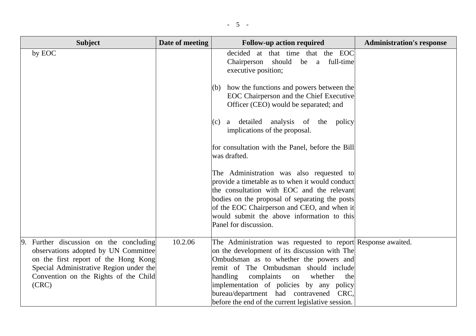| <b>Subject</b>                                                                                                                                                                                                          | Date of meeting | <b>Follow-up action required</b>                                                                                                                                                                                                                                                                                                                                                               | <b>Administration's response</b> |
|-------------------------------------------------------------------------------------------------------------------------------------------------------------------------------------------------------------------------|-----------------|------------------------------------------------------------------------------------------------------------------------------------------------------------------------------------------------------------------------------------------------------------------------------------------------------------------------------------------------------------------------------------------------|----------------------------------|
| by EOC                                                                                                                                                                                                                  |                 | decided at that time that the EOC<br>Chairperson<br>should be a full-time<br>executive position;                                                                                                                                                                                                                                                                                               |                                  |
|                                                                                                                                                                                                                         |                 | how the functions and powers between the<br>(b)<br>EOC Chairperson and the Chief Executive<br>Officer (CEO) would be separated; and                                                                                                                                                                                                                                                            |                                  |
|                                                                                                                                                                                                                         |                 | detailed analysis of the policy<br>$(c)$ a<br>implications of the proposal.                                                                                                                                                                                                                                                                                                                    |                                  |
|                                                                                                                                                                                                                         |                 | for consultation with the Panel, before the Bill<br>was drafted.                                                                                                                                                                                                                                                                                                                               |                                  |
|                                                                                                                                                                                                                         |                 | The Administration was also requested to<br>provide a timetable as to when it would conduct<br>the consultation with EOC and the relevant                                                                                                                                                                                                                                                      |                                  |
|                                                                                                                                                                                                                         |                 | bodies on the proposal of separating the posts<br>of the EOC Chairperson and CEO, and when it<br>would submit the above information to this<br>Panel for discussion.                                                                                                                                                                                                                           |                                  |
| Further discussion on the concluding<br>9.<br>observations adopted by UN Committee<br>on the first report of the Hong Kong<br>Special Administrative Region under the<br>Convention on the Rights of the Child<br>(CRC) | 10.2.06         | The Administration was requested to report Response awaited.<br>on the development of its discussion with The<br>Ombudsman as to whether the powers and<br>remit of The Ombudsman should include<br>handling<br>complaints<br>whether<br>the<br>on<br>implementation of policies by any policy<br>bureau/department had contravened CRC,<br>before the end of the current legislative session. |                                  |